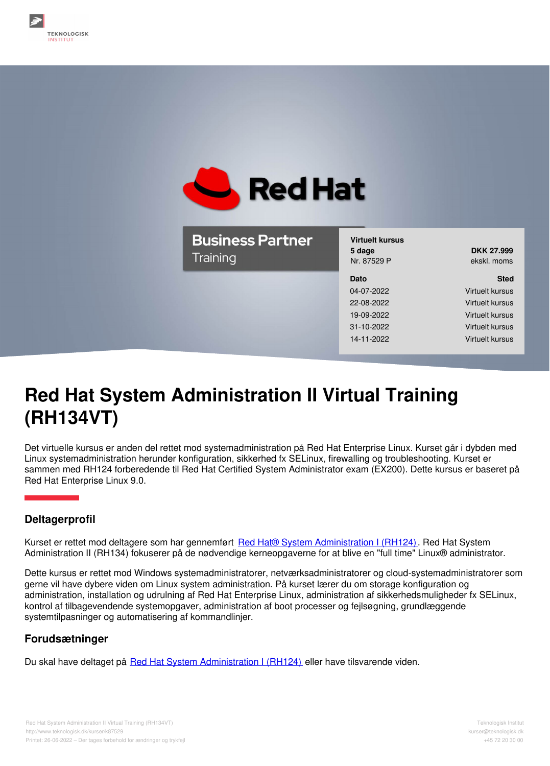

**Business Partner** Training

**Virtuelt kursus 5 dage DKK 27.999** Nr. 87529 P ekskl. moms

**Dato Sted**

04-07-2022 Virtuelt kursus 22-08-2022 Virtuelt kursus 19-09-2022 Virtuelt kursus 31-10-2022 Virtuelt kursus 14-11-2022 Virtuelt kursus

# **Red Hat System Administration II Virtual Training (RH134VT)**

Det virtuelle kursus er anden del rettet mod systemadministration på Red Hat Enterprise Linux. Kurset går i dybden med Linux systemadministration herunder konfiguration, sikkerhed fx SELinux, firewalling og troubleshooting. Kurset er sammen med RH124 forberedende til Red Hat Certified System Administrator exam (EX200). Dette kursus er baseret på Red Hat Enterprise Linux 9.0.

# **Deltagerprofil**

Kurset er rettet mod deltagere som har gennemført Red Hat® System [Administration](https://www.teknologisk.dk/kurser/red-hat-system-administration-i-virtual-training-rh124vt/k11863) I (RH124). Red Hat System Administration II (RH134) fokuserer på de nødvendige kerneopgaverne for at blive en "full time" Linux® administrator.

Dette kursus er rettet mod Windows systemadministratorer, netværksadministratorer og cloud-systemadministratorer som gerne vil have dybere viden om Linux system administration. På kurset lærer du om storage konfiguration og administration, installation og udrulning af Red Hat Enterprise Linux, administration af sikkerhedsmuligheder fx SELinux, kontrol af tilbagevendende systemopgaver, administration af boot processer og fejlsøgning, grundlæggende systemtilpasninger og automatisering af kommandlinjer.

## **Forudsætninger**

Du skal have deltaget på Red Hat System [Administration](https://www.teknologisk.dk/kurser/red-hat-system-administration-i-virtual-training-rh124vt/k11863) I (RH124) eller have tilsvarende viden.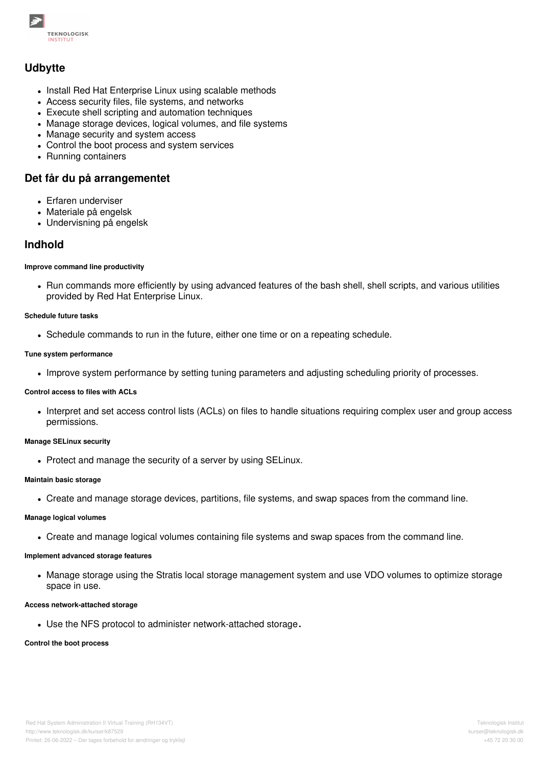

## **Udbytte**

- Install Red Hat Enterprise Linux using scalable methods
- Access security files, file systems, and networks
- Execute shell scripting and automation techniques
- Manage storage devices, logical volumes, and file systems
- Manage security and system access
- Control the boot process and system services
- Running containers

## **Det får du på arrangementet**

- Erfaren underviser
- Materiale på engelsk
- Undervisning på engelsk

## **Indhold**

#### **Improve command line productivity**

• Run commands more efficiently by using advanced features of the bash shell, shell scripts, and various utilities provided by Red Hat Enterprise Linux.

#### **Schedule future tasks**

Schedule commands to run in the future, either one time or on a repeating schedule.

#### **Tune system performance**

• Improve system performance by setting tuning parameters and adjusting scheduling priority of processes.

### **Control access to files with ACLs**

Interpret and set access control lists (ACLs) on files to handle situations requiring complex user and group access permissions.

#### **Manage SELinux security**

• Protect and manage the security of a server by using SELinux.

#### **Maintain basic storage**

Create and manage storage devices, partitions, file systems, and swap spaces from the command line.

#### **Manage logical volumes**

Create and manage logical volumes containing file systems and swap spaces from the command line.

## **Implement advanced storage features**

Manage storage using the Stratis local storage management system and use VDO volumes to optimize storage space in use.

## **Access network-attached storage**

Use the NFS protocol to administer network-attached storage**.**

## **Control the boot process**